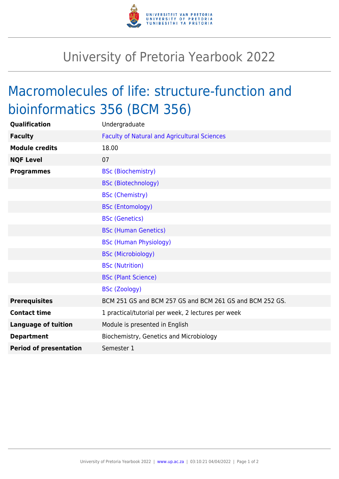

## University of Pretoria Yearbook 2022

## Macromolecules of life: structure-function and bioinformatics 356 (BCM 356)

| Qualification                 | Undergraduate                                            |
|-------------------------------|----------------------------------------------------------|
| <b>Faculty</b>                | <b>Faculty of Natural and Agricultural Sciences</b>      |
| <b>Module credits</b>         | 18.00                                                    |
| <b>NQF Level</b>              | 07                                                       |
| <b>Programmes</b>             | <b>BSc (Biochemistry)</b>                                |
|                               | <b>BSc (Biotechnology)</b>                               |
|                               | <b>BSc (Chemistry)</b>                                   |
|                               | <b>BSc (Entomology)</b>                                  |
|                               | <b>BSc (Genetics)</b>                                    |
|                               | <b>BSc (Human Genetics)</b>                              |
|                               | <b>BSc (Human Physiology)</b>                            |
|                               | <b>BSc (Microbiology)</b>                                |
|                               | <b>BSc (Nutrition)</b>                                   |
|                               | <b>BSc (Plant Science)</b>                               |
|                               | <b>BSc (Zoology)</b>                                     |
| <b>Prerequisites</b>          | BCM 251 GS and BCM 257 GS and BCM 261 GS and BCM 252 GS. |
| <b>Contact time</b>           | 1 practical/tutorial per week, 2 lectures per week       |
| <b>Language of tuition</b>    | Module is presented in English                           |
| <b>Department</b>             | Biochemistry, Genetics and Microbiology                  |
| <b>Period of presentation</b> | Semester 1                                               |